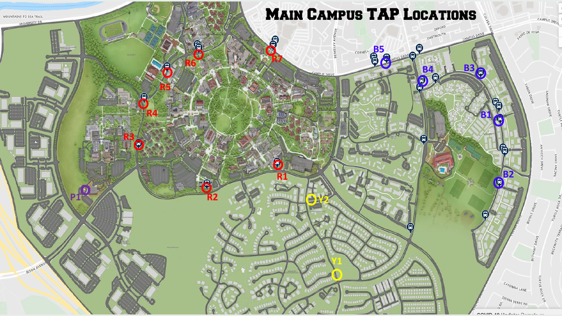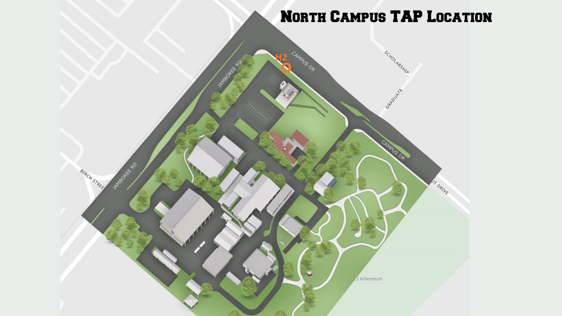